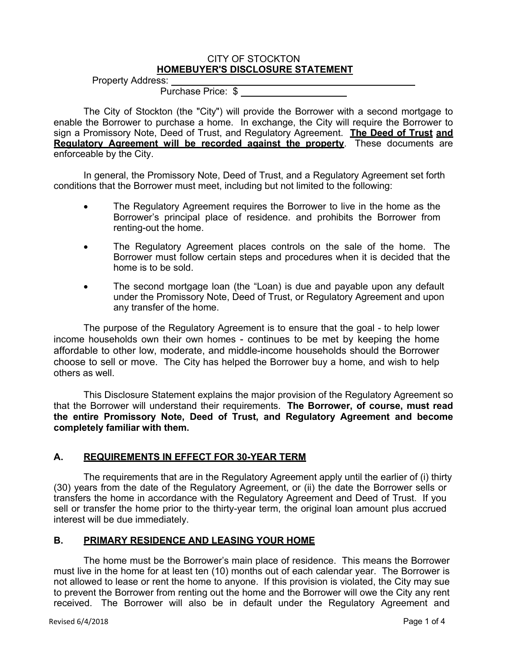### CITY OF STOCKTON **HOMEBUYER'S DISCLOSURE STATEMENT**

Property Address: Purchase Price: \$

The City of Stockton (the "City") will provide the Borrower with a second mortgage to enable the Borrower to purchase a home. In exchange, the City will require the Borrower to sign a Promissory Note, Deed of Trust, and Regulatory Agreement. **The Deed of Trust and Regulatory Agreement will be recorded against the property.** These documents are enforceable by the City.

In general, the Promissory Note, Deed of Trust, and a Regulatory Agreement set forth conditions that the Borrower must meet, including but not limited to the following:

- The Regulatory Agreement requires the Borrower to live in the home as the Borrower's principal place of residence. and prohibits the Borrower from renting-out the home.
- The Regulatory Agreement places controls on the sale of the home. The Borrower must follow certain steps and procedures when it is decided that the home is to be sold.
- The second mortgage loan (the "Loan) is due and payable upon any default under the Promissory Note, Deed of Trust, or Regulatory Agreement and upon any transfer of the home.

The purpose of the Regulatory Agreement is to ensure that the goal - to help lower income households own their own homes - continues to be met by keeping the home affordable to other low, moderate, and middle-income households should the Borrower choose to sell or move. The City has helped the Borrower buy a home, and wish to help others as well.

This Disclosure Statement explains the major provision of the Regulatory Agreement so that the Borrower will understand their requirements. **The Borrower, of course, must read the entire Promissory Note, Deed of Trust, and Regulatory Agreement and become completely familiar with them.**

# **A. REQUIREMENTS IN EFFECT FOR 30-YEAR TERM**

The requirements that are in the Regulatory Agreement apply until the earlier of (i) thirty (30) years from the date of the Regulatory Agreement, or (ii) the date the Borrower sells or transfers the home in accordance with the Regulatory Agreement and Deed of Trust. If you sell or transfer the home prior to the thirty-year term, the original loan amount plus accrued interest will be due immediately.

# **B. PRIMARY RESIDENCE AND LEASING YOUR HOME**

The home must be the Borrower's main place of residence. This means the Borrower must live in the home for at least ten (10) months out of each calendar year. The Borrower is not allowed to lease or rent the home to anyone. If this provision is violated, the City may sue to prevent the Borrower from renting out the home and the Borrower will owe the City any rent received. The Borrower will also be in default under the Regulatory Agreement and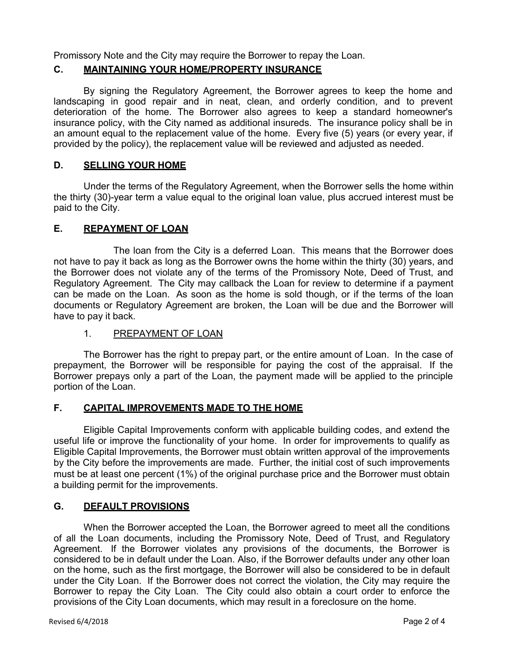Promissory Note and the City may require the Borrower to repay the Loan.

# **C. MAINTAINING YOUR HOME/PROPERTY INSURANCE**

By signing the Regulatory Agreement, the Borrower agrees to keep the home and landscaping in good repair and in neat, clean, and orderly condition, and to prevent deterioration of the home. The Borrower also agrees to keep a standard homeowner's insurance policy, with the City named as additional insureds. The insurance policy shall be in an amount equal to the replacement value of the home. Every five (5) years (or every year, if provided by the policy), the replacement value will be reviewed and adjusted as needed.

## **D. SELLING YOUR HOME**

Under the terms of the Regulatory Agreement, when the Borrower sells the home within the thirty (30)-year term a value equal to the original loan value, plus accrued interest must be paid to the City.

## **E. REPAYMENT OF LOAN**

The loan from the City is a deferred Loan. This means that the Borrower does not have to pay it back as long as the Borrower owns the home within the thirty (30) years, and the Borrower does not violate any of the terms of the Promissory Note, Deed of Trust, and Regulatory Agreement. The City may callback the Loan for review to determine if a payment can be made on the Loan. As soon as the home is sold though, or if the terms of the loan documents or Regulatory Agreement are broken, the Loan will be due and the Borrower will have to pay it back.

## 1. PREPAYMENT OF LOAN

The Borrower has the right to prepay part, or the entire amount of Loan. In the case of prepayment, the Borrower will be responsible for paying the cost of the appraisal. If the Borrower prepays only a part of the Loan, the payment made will be applied to the principle portion of the Loan.

# **F. CAPITAL IMPROVEMENTS MADE TO THE HOME**

Eligible Capital Improvements conform with applicable building codes, and extend the useful life or improve the functionality of your home. In order for improvements to qualify as Eligible Capital Improvements, the Borrower must obtain written approval of the improvements by the City before the improvements are made. Further, the initial cost of such improvements must be at least one percent (1%) of the original purchase price and the Borrower must obtain a building permit for the improvements.

## **G. DEFAULT PROVISIONS**

When the Borrower accepted the Loan, the Borrower agreed to meet all the conditions of all the Loan documents, including the Promissory Note, Deed of Trust, and Regulatory Agreement. If the Borrower violates any provisions of the documents, the Borrower is considered to be in default under the Loan. Also, if the Borrower defaults under any other loan on the home, such as the first mortgage, the Borrower will also be considered to be in default under the City Loan. If the Borrower does not correct the violation, the City may require the Borrower to repay the City Loan. The City could also obtain a court order to enforce the provisions of the City Loan documents, which may result in a foreclosure on the home.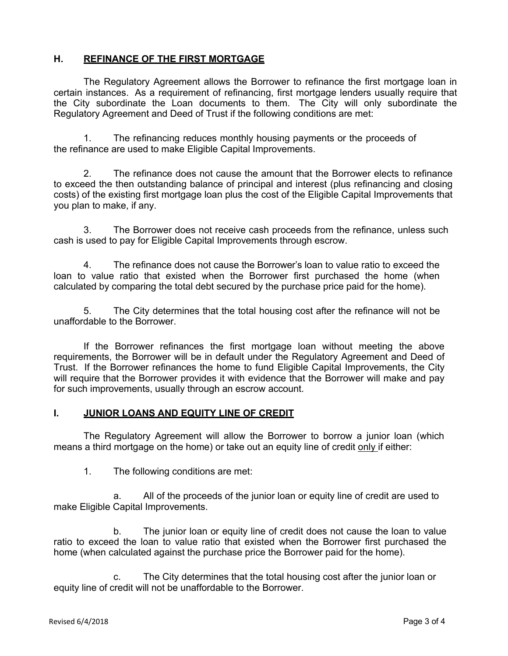# **H. REFINANCE OF THE FIRST MORTGAGE**

The Regulatory Agreement allows the Borrower to refinance the first mortgage loan in certain instances. As a requirement of refinancing, first mortgage lenders usually require that the City subordinate the Loan documents to them. The City will only subordinate the Regulatory Agreement and Deed of Trust if the following conditions are met:

1. The refinancing reduces monthly housing payments or the proceeds of the refinance are used to make Eligible Capital Improvements.

2. The refinance does not cause the amount that the Borrower elects to refinance to exceed the then outstanding balance of principal and interest (plus refinancing and closing costs) of the existing first mortgage loan plus the cost of the Eligible Capital Improvements that you plan to make, if any.

3. The Borrower does not receive cash proceeds from the refinance, unless such cash is used to pay for Eligible Capital Improvements through escrow.

4. The refinance does not cause the Borrower's loan to value ratio to exceed the loan to value ratio that existed when the Borrower first purchased the home (when calculated by comparing the total debt secured by the purchase price paid for the home).

5. The City determines that the total housing cost after the refinance will not be unaffordable to the Borrower.

If the Borrower refinances the first mortgage loan without meeting the above requirements, the Borrower will be in default under the Regulatory Agreement and Deed of Trust. If the Borrower refinances the home to fund Eligible Capital Improvements, the City will require that the Borrower provides it with evidence that the Borrower will make and pay for such improvements, usually through an escrow account.

### **I. JUNIOR LOANS AND EQUITY LINE OF CREDIT**

The Regulatory Agreement will allow the Borrower to borrow a junior loan (which means a third mortgage on the home) or take out an equity line of credit only if either:

1. The following conditions are met:

a. All of the proceeds of the junior loan or equity line of credit are used to make Eligible Capital Improvements.

b. The junior loan or equity line of credit does not cause the loan to value ratio to exceed the loan to value ratio that existed when the Borrower first purchased the home (when calculated against the purchase price the Borrower paid for the home).

c. The City determines that the total housing cost after the junior loan or equity line of credit will not be unaffordable to the Borrower.